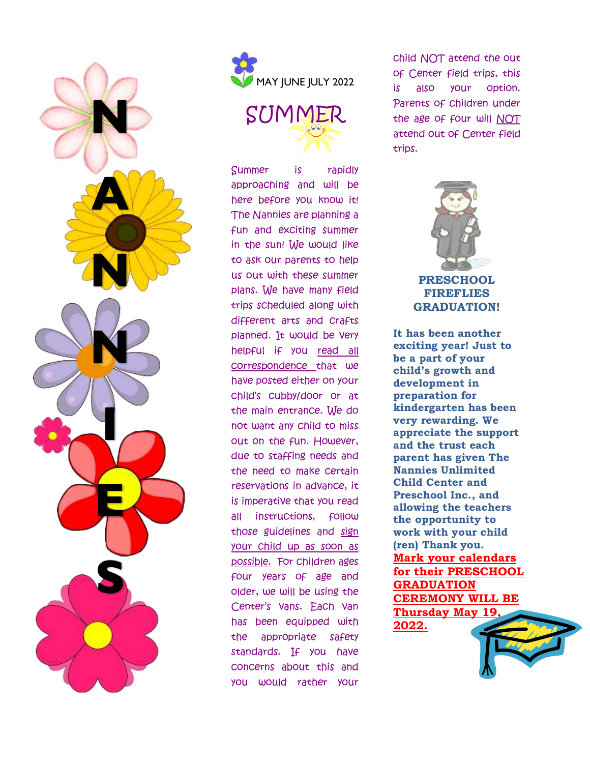



SUMMER

Summer is rapidly approaching and will be here before you know it! The Nannies are planning a fun and exciting summer in the sun! We would like to ask our parents to help us out with these summer plans. We have many field trips scheduled along with different arts and crafts planned. It would be very helpful if you read all correspondence that we have posted either on your child's cubby/door or at the main entrance. We do not want any child to miss out on the fun. However, due to staffing needs and the need to make certain reservations in advance, it is imperative that you read all instructions, follow those guidelines and sign your child up as soon as possible. For children ages four years of age and older, we will be using the Center's vans. Each van has been equipped with the appropriate safety standards. If you have concerns about this and you would rather your

child NOT attend the out of Center field trips, this is also your option. Parents of children under the age of four will NOT attend out of Center field trips.



**FIREFLIES GRADUATION!**

**It has been another exciting year! Just to be a part of your child's growth and development in preparation for kindergarten has been very rewarding. We appreciate the support and the trust each parent has given The Nannies Unlimited Child Center and Preschool Inc., and allowing the teachers the opportunity to work with your child (ren) Thank you. Mark your calendars for their PRESCHOOL GRADUATION CEREMONY WILL BE Thursday May 19, 2022.**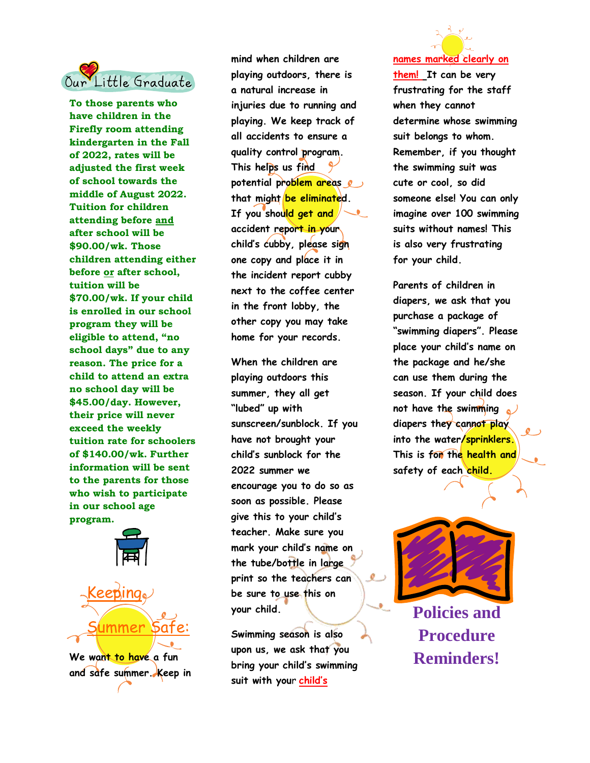

**To those parents who have children in the Firefly room attending kindergarten in the Fall of 2022, rates will be adjusted the first week of school towards the middle of August 2022. Tuition for children attending before and after school will be \$90.00/wk. Those children attending either before or after school, tuition will be \$70.00/wk. If your child is enrolled in our school program they will be eligible to attend, "no school days" due to any reason. The price for a child to attend an extra no school day will be \$45.00/day. However, their price will never exceed the weekly tuition rate for schoolers of \$140.00/wk. Further information will be sent to the parents for those who wish to participate in our school age program.**



**We want to have a fun and safe summer. Keep in** 

**mind when children are playing outdoors, there is a natural increase in injuries due to running and playing. We keep track of all accidents to ensure a quality control program. This helps us find potential problem areas**  that might be eliminated. **If you should get and accident report in your child's cubby, please sign one copy and place it in the incident report cubby next to the coffee center in the front lobby, the other copy you may take home for your records.** 

**When the children are playing outdoors this summer, they all get "lubed" up with sunscreen/sunblock. If you have not brought your child's sunblock for the 2022 summer we encourage you to do so as soon as possible. Please give this to your child's teacher. Make sure you mark your child's name on the tube/bottle in large print so the teachers can be sure to use this on your child.**

**Swimming season is also upon us, we ask that you bring your child's swimming suit with you**r **child's** 



**them! It can be very frustrating for the staff when they cannot determine whose swimming suit belongs to whom. Remember, if you thought the swimming suit was cute or cool, so did someone else! You can only imagine over 100 swimming suits without names! This is also very frustrating for your child.** 

**Parents of children in diapers, we ask that you purchase a package of "swimming diapers". Please place your child's name on the package and he/she can use them during the season. If your child does not have the swimming diapers they cannot play into the water/sprinklers. This is for the health and safety of each child.** 



**Policies and Procedure Reminders!**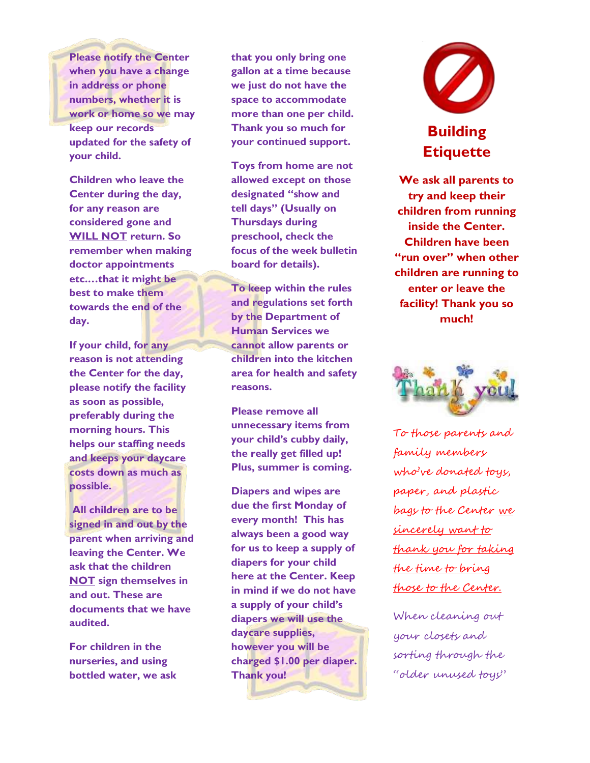**Please notify the Center when you have a change in address or phone numbers, whether it is work or home so we may keep our records updated for the safety of your child.** 

**Children who leave the Center during the day, for any reason are considered gone and WILL NOT return. So remember when making doctor appointments etc.…that it might be best to make them towards the end of the day.** 

**If your child, for any reason is not attending the Center for the day, please notify the facility as soon as possible, preferably during the morning hours. This helps our staffing needs and keeps your daycare costs down as much as possible.** 

**All children are to be signed in and out by the parent when arriving and leaving the Center. We ask that the children NOT sign themselves in and out. These are documents that we have audited.** 

**For children in the nurseries, and using bottled water, we ask** 

**that you only bring one gallon at a time because we just do not have the space to accommodate more than one per child. Thank you so much for your continued support.** 

**Toys from home are not allowed except on those designated "show and tell days" (Usually on Thursdays during preschool, check the focus of the week bulletin board for details).**

**To keep within the rules and regulations set forth by the Department of Human Services we cannot allow parents or children into the kitchen area for health and safety reasons.**

**Please remove all unnecessary items from your child's cubby daily, the really get filled up! Plus, summer is coming.** 

**Diapers and wipes are due the first Monday of every month! This has always been a good way for us to keep a supply of diapers for your child here at the Center. Keep in mind if we do not have a supply of your child's diapers we will use the daycare supplies, however you will be charged \$1.00 per diaper. Thank you!**



## **Building Etiquette**

**We ask all parents to try and keep their children from running inside the Center. Children have been "run over" when other children are running to enter or leave the facility! Thank you so much!**



To those parents and family members who've donated toys, paper, and plastic bags to the Center we sincerely want to thank you for taking the time to bring those to the Center.

When cleaning out your closets and sorting through the "older unused toys"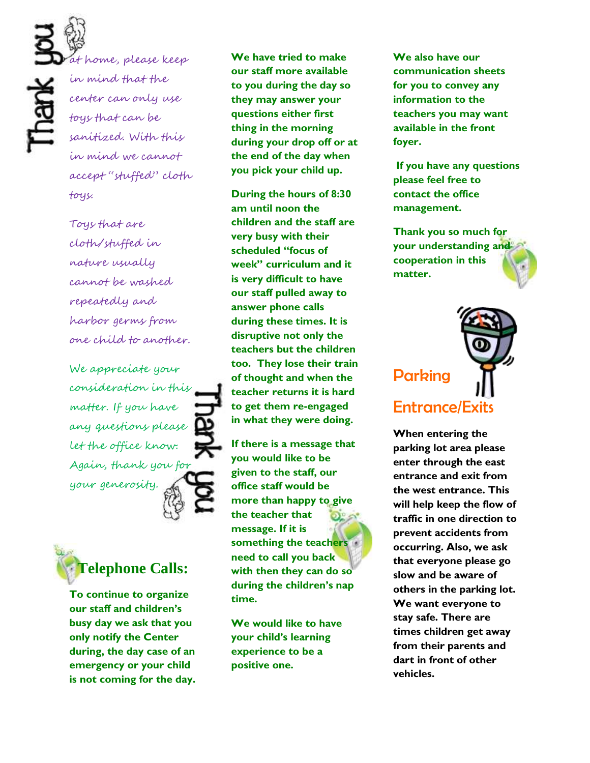Ř

at home, please keep in mind that the center can only use toys that can be sanitized. With this in mind we cannot accept "stuffed" cloth toys.

Toys that are cloth/stuffed in nature usually cannot be washed repeatedly and harbor germs from one child to another.

We appreciate your consideration in this matter. If you have any questions please let the office know. Again, thank you for your generosity.



**To continue to organize our staff and children's busy day we ask that you only notify the Center during, the day case of an emergency or your child is not coming for the day.**  **We have tried to make our staff more available to you during the day so they may answer your questions either first thing in the morning during your drop off or at the end of the day when you pick your child up.**

**During the hours of 8:30 am until noon the children and the staff are very busy with their scheduled "focus of week" curriculum and it is very difficult to have our staff pulled away to answer phone calls during these times. It is disruptive not only the teachers but the children too. They lose their train of thought and when the teacher returns it is hard to get them re-engaged in what they were doing.** 

**If there is a message that you would like to be given to the staff, our office staff would be more than happy to give the teacher that message. If it is something the teachers need to call you back with then they can do so during the children's nap time.** 

**We would like to have your child's learning experience to be a positive one.**

**We also have our communication sheets for you to convey any information to the teachers you may want available in the front foyer.** 

**If you have any questions please feel free to contact the office management.** 

**Thank you so much for your understanding and cooperation in this matter.** 

## **Parking** Entrance/Exits

**When entering the parking lot area please enter through the east entrance and exit from the west entrance. This will help keep the flow of traffic in one direction to prevent accidents from occurring. Also, we ask that everyone please go slow and be aware of others in the parking lot. We want everyone to stay safe. There are times children get away from their parents and dart in front of other vehicles.**